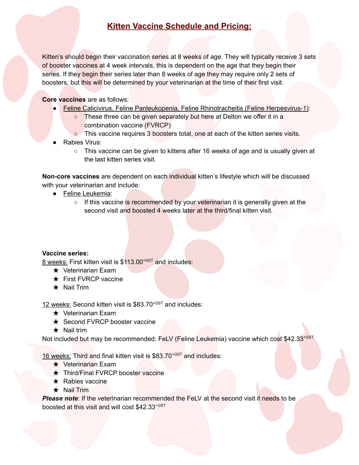## **Kitten Vaccine Schedule and Pricing:**

Kitten's should begin their vaccination series at 8 weeks of age. They will typically receive 3 sets of booster vaccines at 4 week intervals, this is dependent on the age that they begin their series. If they begin their series later than 8 weeks of age they may require only 2 sets of boosters, but this will be determined by your veterinarian at the time of their first visit.

## **Core vaccines** are as follows:

- Feline Calicivirus, Feline Panleukopenia, Feline Rhinotracheitis (Feline Herpesvirus-1):
	- These three can be given separately but here at Delton we offer it in a combination vaccine (FVRCP)
	- o This vaccine requires 3 boosters total, one at each of the kitten series visits.
- Rabies Virus:
	- This vaccine can be given to kittens after 16 weeks of age and is usually given at the last kitten series visit.

**Non-core vaccines** are dependent on each individual kitten's lifestyle which will be discussed with your veterinarian and include:

- Feline Leukemia:
	- If this vaccine is recommended by your veterinarian it is generally given at the second visit and boosted 4 weeks later at the third/final kitten visit.

## **Vaccine series:**

8 weeks: First kitten visit is \$113.00<sup>+GST</sup> and includes:

- $\star$  Veterinarian Exam
- **★ First FVRCP vaccine**
- ★ Nail Trim

12 weeks: Second kitten visit is \$83.70<sup>+GST</sup> and includes:

- $\star$  Veterinarian Exam
- **★ Second FVRCP booster vaccine**
- $\star$  Nail trim

Not included but may be recommended: FeLV (Feline Leukemia) vaccine which cost \$42.33<sup>+GST</sup>

16 weeks: Third and final kitten visit is \$83.70<sup>+GST</sup> and includes:

- **★** Veterinarian Exam
- ★ Third/Final FVRCP booster vaccine
- $\star$  Rabies vaccine
- ★ Nail Trim

**Please note:** If the veterinarian recommended the FeLV at the second visit it needs to be boosted at this visit and will cost \$42.33<sup>+GST</sup>